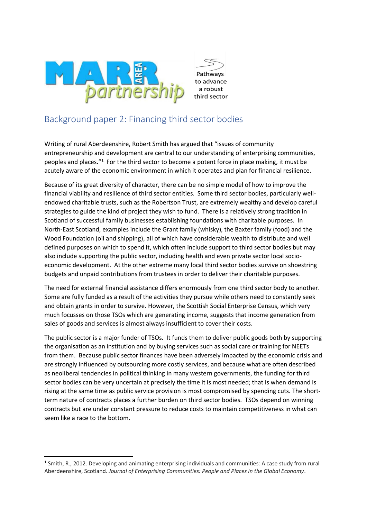

# Background paper 2: Financing third sector bodies

Writing of rural Aberdeenshire, Robert Smith has argued that "issues of community entrepreneurship and development are central to our understanding of enterprising communities, peoples and places."<sup>1</sup> For the third sector to become a potent force in place making, it must be acutely aware of the economic environment in which it operates and plan for financial resilience.

Because of its great diversity of character, there can be no simple model of how to improve the financial viability and resilience of third sector entities. Some third sector bodies, particularly wellendowed charitable trusts, such as the Robertson Trust, are extremely wealthy and develop careful strategies to guide the kind of project they wish to fund. There is a relatively strong tradition in Scotland of successful family businesses establishing foundations with charitable purposes. In North-East Scotland, examples include the Grant family (whisky), the Baxter family (food) and the Wood Foundation (oil and shipping), all of which have considerable wealth to distribute and well defined purposes on which to spend it, which often include support to third sector bodies but may also include supporting the public sector, including health and even private sector local socioeconomic development. At the other extreme many local third sector bodies survive on shoestring budgets and unpaid contributions from trustees in order to deliver their charitable purposes.

The need for external financial assistance differs enormously from one third sector body to another. Some are fully funded as a result of the activities they pursue while others need to constantly seek and obtain grants in order to survive. However, the Scottish Social Enterprise Census, which very much focusses on those TSOs which are generating income, suggests that income generation from sales of goods and services is almost always insufficient to cover their costs.

The public sector is a major funder of TSOs. It funds them to deliver public goods both by supporting the organisation as an institution and by buying services such as social care or training for NEETs from them. Because public sector finances have been adversely impacted by the economic crisis and are strongly influenced by outsourcing more costly services, and because what are often described as neoliberal tendencies in political thinking in many western governments, the funding for third sector bodies can be very uncertain at precisely the time it is most needed; that is when demand is rising at the same time as public service provision is most compromised by spending cuts. The shortterm nature of contracts places a further burden on third sector bodies. TSOs depend on winning contracts but are under constant pressure to reduce costs to maintain competitiveness in what can seem like a race to the bottom.

<sup>&</sup>lt;sup>1</sup> Smith, R., 2012. Developing and animating enterprising individuals and communities: A case study from rural Aberdeenshire, Scotland. *Journal of Enterprising Communities: People and Places in the Global Economy*.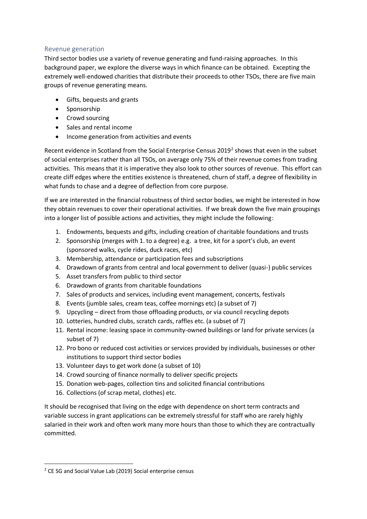# Revenue generation

Third sector bodies use a variety of revenue generating and fund-raising approaches. In this background paper, we explore the diverse ways in which finance can be obtained. Excepting the extremely well-endowed charities that distribute their proceeds to other TSOs, there are five main groups of revenue generating means.

- Gifts, bequests and grants
- Sponsorship
- Crowd sourcing
- Sales and rental income
- Income generation from activities and events

Recent evidence in Scotland from the Social Enterprise Census 2019<sup>2</sup> shows that even in the subset of social enterprises rather than all TSOs, on average only 75% of their revenue comes from trading activities. This means that it is imperative they also look to other sources of revenue. This effort can create cliff edges where the entities existence is threatened, churn of staff, a degree of flexibility in what funds to chase and a degree of deflection from core purpose.

If we are interested in the financial robustness of third sector bodies, we might be interested in how they obtain revenues to cover their operational activities. If we break down the five main groupings into a longer list of possible actions and activities, they might include the following:

- 1. Endowments, bequests and gifts, including creation of charitable foundations and trusts
- 2. Sponsorship (merges with 1. to a degree) e.g. a tree, kit for a sport's club, an event (sponsored walks, cycle rides, duck races, etc)
- 3. Membership, attendance or participation fees and subscriptions
- 4. Drawdown of grants from central and local government to deliver (quasi-) public services
- 5. Asset transfers from public to third sector
- 6. Drawdown of grants from charitable foundations
- 7. Sales of products and services, including event management, concerts, festivals
- 8. Events (jumble sales, cream teas, coffee mornings etc) (a subset of 7)
- 9. Upcycling direct from those offloading products, or via council recycling depots
- 10. Lotteries, hundred clubs, scratch cards, raffles etc. (a subset of 7)
- 11. Rental income: leasing space in community-owned buildings or land for private services (a subset of 7)
- 12. Pro bono or reduced cost activities or services provided by individuals, businesses or other institutions to support third sector bodies
- 13. Volunteer days to get work done (a subset of 10)
- 14. Crowd sourcing of finance normally to deliver specific projects
- 15. Donation web-pages, collection tins and solicited financial contributions
- 16. Collections (of scrap metal, clothes) etc.

It should be recognised that living on the edge with dependence on short term contracts and variable success in grant applications can be extremely stressful for staff who are rarely highly salaried in their work and often work many more hours than those to which they are contractually committed.

<sup>&</sup>lt;sup>2</sup> CE SG and Social Value Lab (2019) Social enterprise census